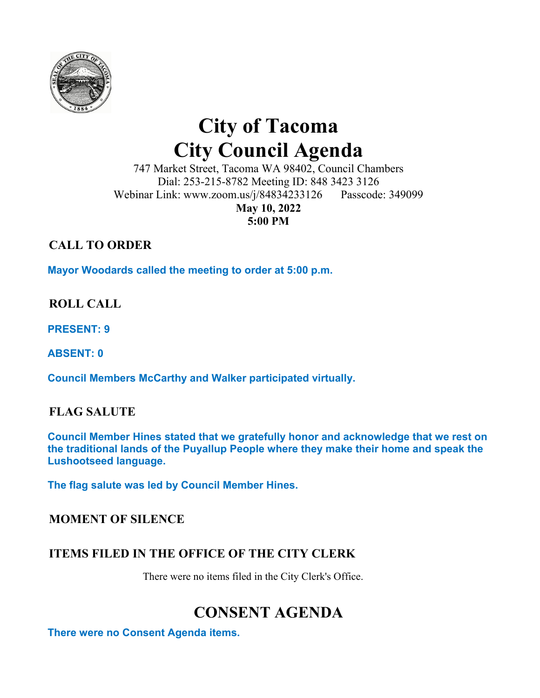

# **City of Tacoma City Council Agenda**

747 Market Street, Tacoma WA 98402, Council Chambers Dial: 253-215-8782 Meeting ID: 848 3423 3126 Webinar Link: www.zoom.us/j/84834233126 Passcode: 349099

> **May 10, 2022 5:00 PM**

## **CALL TO ORDER**

**Mayor Woodards called the meeting to order at 5:00 p.m.** 

## **ROLL CALL**

**PRESENT: 9** 

**ABSENT: 0** 

**Council Members McCarthy and Walker participated virtually.** 

## **FLAG SALUTE**

**Council Member Hines stated that we gratefully honor and acknowledge that we rest on the traditional lands of the Puyallup People where they make their home and speak the Lushootseed language.** 

**The flag salute was led by Council Member Hines.** 

### **MOMENT OF SILENCE**

## **ITEMS FILED IN THE OFFICE OF THE CITY CLERK**

There were no items filed in the City Clerk's Office.

## **CONSENT AGENDA**

**There were no Consent Agenda items.**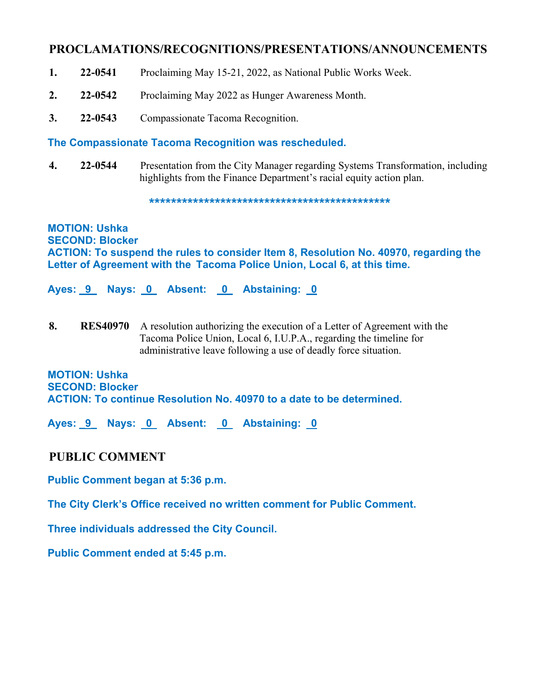#### **PROCLAMATIONS/RECOGNITIONS/PRESENTATIONS/ANNOUNCEMENTS**

- **1. 22-0541** Proclaiming May 15-21, 2022, as National Public Works Week.
- **2. 22-0542** Proclaiming May 2022 as Hunger Awareness Month.
- **3. 22-0543** Compassionate Tacoma Recognition.

#### **The Compassionate Tacoma Recognition was rescheduled.**

**4. 22-0544** Presentation from the City Manager regarding Systems Transformation, including highlights from the Finance Department's racial equity action plan.

**\*\*\*\*\*\*\*\*\*\*\*\*\*\*\*\*\*\*\*\*\*\*\*\*\*\*\*\*\*\*\*\*\*\*\*\*\*\*\*\*\*\*\*\*** 

**MOTION: Ushka SECOND: Blocker ACTION: To suspend the rules to consider Item 8, Resolution No. 40970, regarding the Letter of Agreement with the Tacoma Police Union, Local 6, at this time.** 

**Ayes: \_9\_ Nays: 0 Absent: 0 Abstaining: 0** 

**8. RES40970** A resolution authorizing the execution of a Letter of Agreement with the Tacoma Police Union, Local 6, I.U.P.A., regarding the timeline for administrative leave following a use of deadly force situation.

#### **MOTION: Ushka SECOND: Blocker ACTION: To continue Resolution No. 40970 to a date to be determined.**

**Ayes: \_9\_ Nays: 0 Absent: 0 Abstaining: 0** 

#### **PUBLIC COMMENT**

**Public Comment began at 5:36 p.m.** 

**The City Clerk's Office received no written comment for Public Comment.** 

**Three individuals addressed the City Council.** 

**Public Comment ended at 5:45 p.m.**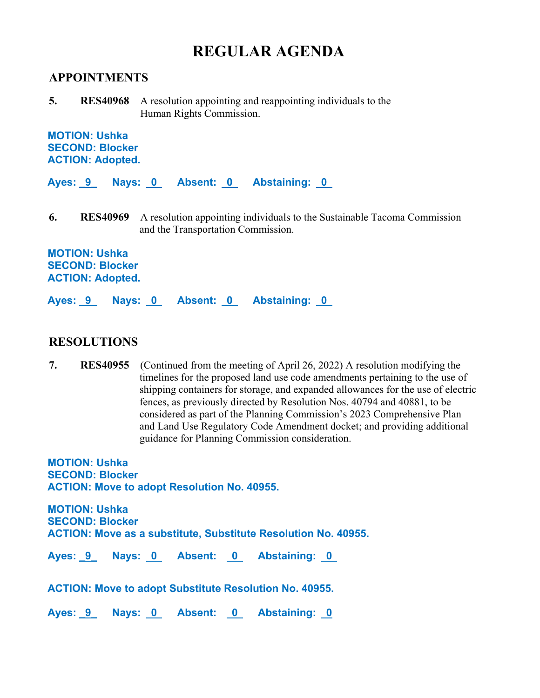## **REGULAR AGENDA**

#### **APPOINTMENTS**

**5. RES40968** A resolution appointing and reappointing individuals to the Human Rights Commission.

**MOTION: Ushka SECOND: Blocker ACTION: Adopted.** 

**Ayes: \_9\_ Nays: 0 Absent: 0 Abstaining: 0** 

**6. RES40969** A resolution appointing individuals to the Sustainable Tacoma Commission and the Transportation Commission.

**MOTION: Ushka SECOND: Blocker ACTION: Adopted.** 

**Ayes: \_9\_ Nays: 0 Absent: 0 Abstaining: 0** 

#### **RESOLUTIONS**

**7. RES40955** (Continued from the meeting of April 26, 2022) A resolution modifying the timelines for the proposed land use code amendments pertaining to the use of shipping containers for storage, and expanded allowances for the use of electric fences, as previously directed by Resolution Nos. 40794 and 40881, to be considered as part of the Planning Commission's 2023 Comprehensive Plan and Land Use Regulatory Code Amendment docket; and providing additional guidance for Planning Commission consideration.

**MOTION: Ushka SECOND: Blocker ACTION: Move to adopt Resolution No. 40955.** 

**MOTION: Ushka SECOND: Blocker ACTION: Move as a substitute, Substitute Resolution No. 40955.** 

Ayes: 9 Nays: 0 Absent: 0 Abstaining: 0

**ACTION: Move to adopt Substitute Resolution No. 40955.** 

Ayes: 9 Nays: 0 Absent: 0 Abstaining: 0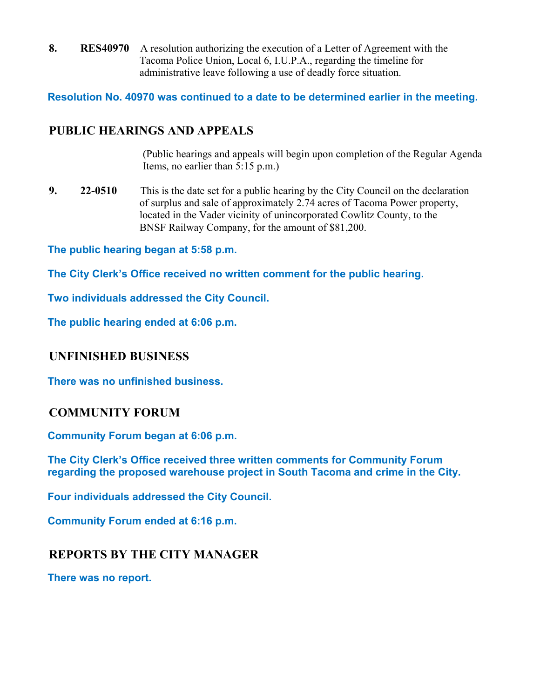**8. RES40970** A resolution authorizing the execution of a Letter of Agreement with the Tacoma Police Union, Local 6, I.U.P.A., regarding the timeline for administrative leave following a use of deadly force situation.

**Resolution No. 40970 was continued to a date to be determined earlier in the meeting.**

## **PUBLIC HEARINGS AND APPEALS**

(Public hearings and appeals will begin upon completion of the Regular Agenda Items, no earlier than 5:15 p.m.)

**9. 22-0510** This is the date set for a public hearing by the City Council on the declaration of surplus and sale of approximately 2.74 acres of Tacoma Power property, located in the Vader vicinity of unincorporated Cowlitz County, to the BNSF Railway Company, for the amount of \$81,200.

**The public hearing began at 5:58 p.m.** 

**The City Clerk's Office received no written comment for the public hearing.** 

**Two individuals addressed the City Council.** 

**The public hearing ended at 6:06 p.m.** 

#### **UNFINISHED BUSINESS**

**There was no unfinished business.** 

#### **COMMUNITY FORUM**

**Community Forum began at 6:06 p.m.** 

**The City Clerk's Office received three written comments for Community Forum regarding the proposed warehouse project in South Tacoma and crime in the City.** 

**Four individuals addressed the City Council.** 

**Community Forum ended at 6:16 p.m.** 

### **REPORTS BY THE CITY MANAGER**

**There was no report.**